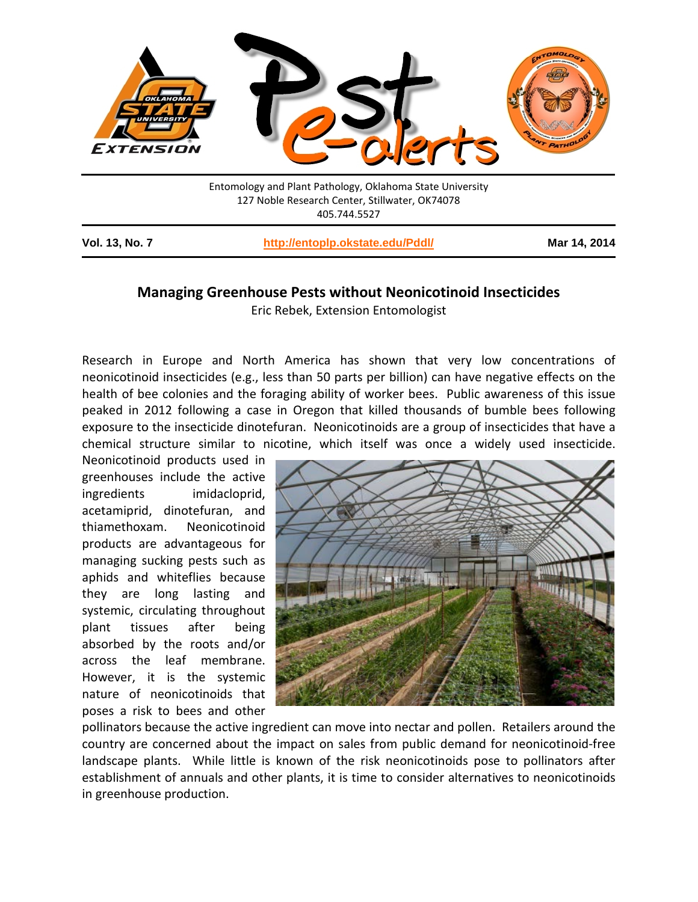

## **Managing Greenhouse Pests without Neonicotinoid Insecticides**

Eric Rebek, Extension Entomologist

Research in Europe and North America has shown that very low concentrations of neonicotinoid insecticides (e.g., less than 50 parts per billion) can have negative effects on the health of bee colonies and the foraging ability of worker bees. Public awareness of this issue peaked in 2012 following a case in Oregon that killed thousands of bumble bees following exposure to the insecticide dinotefuran. Neonicotinoids are a group of insecticides that have a chemical structure similar to nicotine, which itself was once a widely used insecticide.

Neonicotinoid products used in greenhouses include the active ingredients imidacloprid, acetamiprid, dinotefuran, and thiamethoxam. Neonicotinoid products are advantageous for managing sucking pests such as aphids and whiteflies because they are long lasting and systemic, circulating throughout plant tissues after being absorbed by the roots and/or across the leaf membrane. However, it is the systemic nature of neonicotinoids that poses a risk to bees and other



pollinators because the active ingredient can move into nectar and pollen. Retailers around the country are concerned about the impact on sales from public demand for neonicotinoid-free landscape plants. While little is known of the risk neonicotinoids pose to pollinators after establishment of annuals and other plants, it is time to consider alternatives to neonicotinoids in greenhouse production.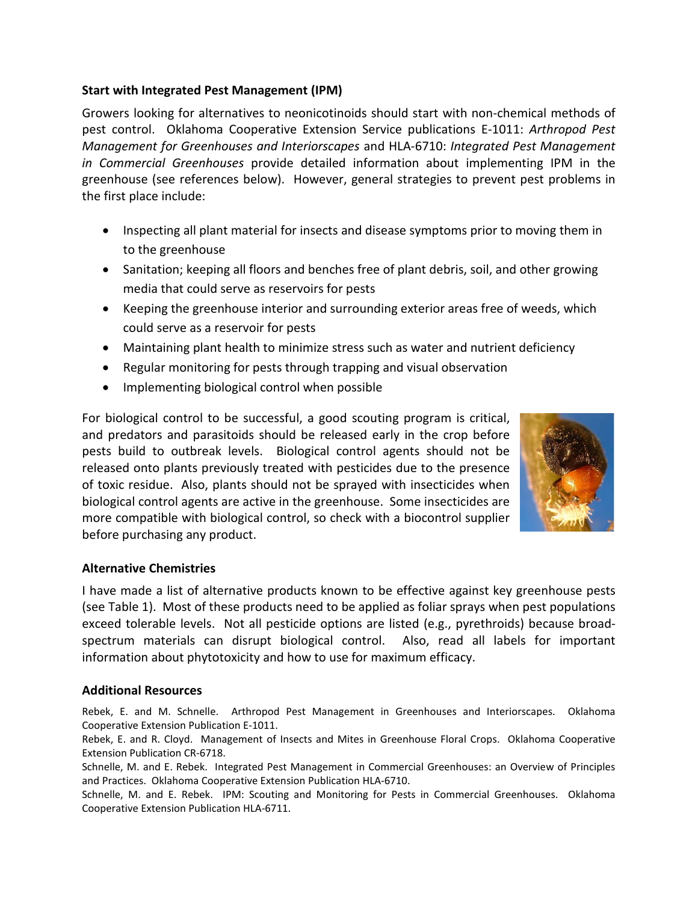## **Start with Integrated Pest Management (IPM)**

Growers looking for alternatives to neonicotinoids should start with non-chemical methods of pest control. Oklahoma Cooperative Extension Service publications E-1011: *Arthropod Pest Management for Greenhouses and Interiorscapes* and HLA-6710: *Integrated Pest Management in Commercial Greenhouses* provide detailed information about implementing IPM in the greenhouse (see references below). However, general strategies to prevent pest problems in the first place include:

- Inspecting all plant material for insects and disease symptoms prior to moving them in to the greenhouse
- Sanitation; keeping all floors and benches free of plant debris, soil, and other growing media that could serve as reservoirs for pests
- Keeping the greenhouse interior and surrounding exterior areas free of weeds, which could serve as a reservoir for pests
- Maintaining plant health to minimize stress such as water and nutrient deficiency
- Regular monitoring for pests through trapping and visual observation
- Implementing biological control when possible

For biological control to be successful, a good scouting program is critical, and predators and parasitoids should be released early in the crop before pests build to outbreak levels. Biological control agents should not be released onto plants previously treated with pesticides due to the presence of toxic residue. Also, plants should not be sprayed with insecticides when biological control agents are active in the greenhouse. Some insecticides are more compatible with biological control, so check with a biocontrol supplier before purchasing any product.



# **Alternative Chemistries**

I have made a list of alternative products known to be effective against key greenhouse pests (see Table 1). Most of these products need to be applied as foliar sprays when pest populations exceed tolerable levels. Not all pesticide options are listed (e.g., pyrethroids) because broadspectrum materials can disrupt biological control. Also, read all labels for important information about phytotoxicity and how to use for maximum efficacy.

### **Additional Resources**

Rebek, E. and M. Schnelle. Arthropod Pest Management in Greenhouses and Interiorscapes. Oklahoma Cooperative Extension Publication E-1011.

Rebek, E. and R. Cloyd. Management of Insects and Mites in Greenhouse Floral Crops. Oklahoma Cooperative Extension Publication CR-6718.

Schnelle, M. and E. Rebek. Integrated Pest Management in Commercial Greenhouses: an Overview of Principles and Practices. Oklahoma Cooperative Extension Publication HLA-6710.

Schnelle, M. and E. Rebek. IPM: Scouting and Monitoring for Pests in Commercial Greenhouses. Oklahoma Cooperative Extension Publication HLA-6711.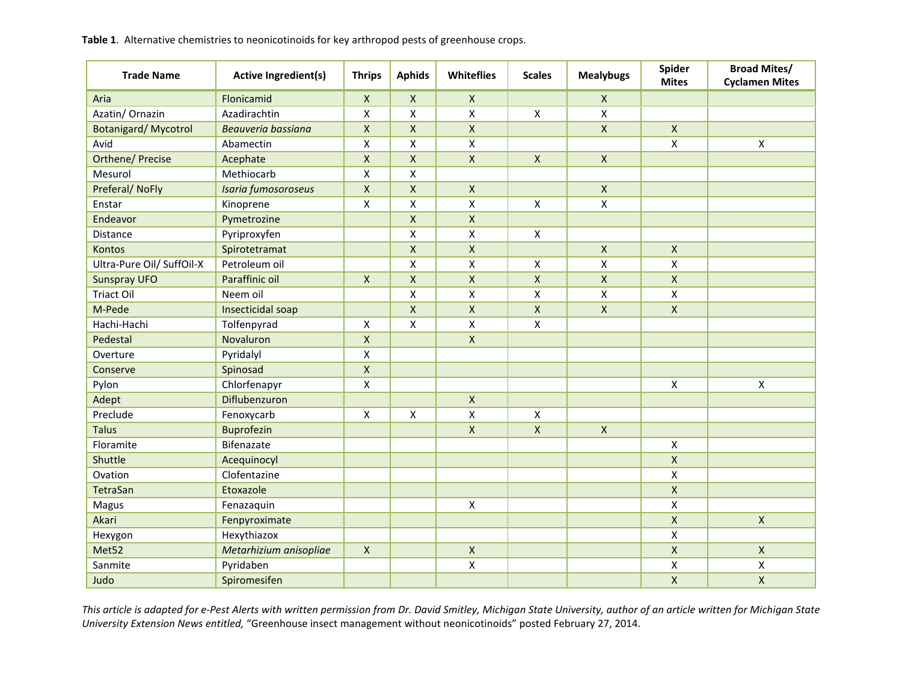| <b>Trade Name</b>          | <b>Active Ingredient(s)</b> | <b>Thrips</b> | <b>Aphids</b>      | Whiteflies         | <b>Scales</b>             | <b>Mealybugs</b> | Spider<br><b>Mites</b> | <b>Broad Mites/</b><br><b>Cyclamen Mites</b> |
|----------------------------|-----------------------------|---------------|--------------------|--------------------|---------------------------|------------------|------------------------|----------------------------------------------|
| Aria                       | Flonicamid                  | $\mathsf{X}$  | $\mathsf{X}$       | $\mathsf{X}$       |                           | X                |                        |                                              |
| Azatin/ Ornazin            | Azadirachtin                | X             | X                  | $\pmb{\mathsf{X}}$ | $\pmb{\times}$            | X                |                        |                                              |
| <b>Botanigard/Mycotrol</b> | Beauveria bassiana          | $\mathsf{X}$  | $\pmb{\mathsf{X}}$ | $\pmb{\mathsf{X}}$ |                           | $\mathsf X$      | $\pmb{\times}$         |                                              |
| Avid                       | Abamectin                   | X             | X                  | $\pmb{\mathsf{X}}$ |                           |                  | $\pmb{\mathsf{X}}$     | $\pmb{\times}$                               |
| <b>Orthene/ Precise</b>    | Acephate                    | $\mathsf{X}$  | $\pmb{\mathsf{X}}$ | $\mathsf X$        | $\boldsymbol{\mathsf{X}}$ | $\mathsf{X}$     |                        |                                              |
| Mesurol                    | Methiocarb                  | X             | $\pmb{\mathsf{X}}$ |                    |                           |                  |                        |                                              |
| Preferal/ NoFly            | Isaria fumosoroseus         | $\mathsf X$   | $\pmb{\mathsf{X}}$ | $\mathsf{X}$       |                           | $\mathsf{X}$     |                        |                                              |
| Enstar                     | Kinoprene                   | X             | Χ                  | X                  | $\pmb{\times}$            | $\mathsf{x}$     |                        |                                              |
| Endeavor                   | Pymetrozine                 |               | $\mathsf{X}$       | $\pmb{\mathsf{X}}$ |                           |                  |                        |                                              |
| <b>Distance</b>            | Pyriproxyfen                |               | X                  | $\pmb{\mathsf{X}}$ | $\pmb{\mathsf{X}}$        |                  |                        |                                              |
| Kontos                     | Spirotetramat               |               | Χ                  | X                  |                           | $\mathsf{X}$     | X                      |                                              |
| Ultra-Pure Oil/ SuffOil-X  | Petroleum oil               |               | Χ                  | X                  | $\pmb{\mathsf{X}}$        | X                | X                      |                                              |
| <b>Sunspray UFO</b>        | Paraffinic oil              | X             | $\pmb{\mathsf{X}}$ | $\mathsf{X}$       | X                         | $\mathsf X$      | $\pmb{\mathsf{X}}$     |                                              |
| <b>Triact Oil</b>          | Neem oil                    |               | X                  | X                  | Χ                         | X                | X                      |                                              |
| M-Pede                     | Insecticidal soap           |               | $\pmb{\mathsf{X}}$ | $\pmb{\times}$     | $\mathsf X$               | $\mathsf{X}$     | $\pmb{\times}$         |                                              |
| Hachi-Hachi                | Tolfenpyrad                 | $\mathsf{x}$  | Χ                  | $\pmb{\mathsf{X}}$ | $\pmb{\mathsf{X}}$        |                  |                        |                                              |
| Pedestal                   | Novaluron                   | $\mathsf{X}$  |                    | $\mathsf X$        |                           |                  |                        |                                              |
| Overture                   | Pyridalyl                   | X             |                    |                    |                           |                  |                        |                                              |
| Conserve                   | Spinosad                    | $\mathsf X$   |                    |                    |                           |                  |                        |                                              |
| Pylon                      | Chlorfenapyr                | X             |                    |                    |                           |                  | $\pmb{\mathsf{X}}$     | $\pmb{\times}$                               |
| Adept                      | Diflubenzuron               |               |                    | $\mathsf{X}$       |                           |                  |                        |                                              |
| Preclude                   | Fenoxycarb                  | X             | $\pmb{\mathsf{X}}$ | X                  | X                         |                  |                        |                                              |
| <b>Talus</b>               | Buprofezin                  |               |                    | $\mathsf X$        | $\mathsf X$               | $\mathsf X$      |                        |                                              |
| Floramite                  | Bifenazate                  |               |                    |                    |                           |                  | $\pmb{\mathsf{X}}$     |                                              |
| Shuttle                    | Acequinocyl                 |               |                    |                    |                           |                  | X                      |                                              |
| Ovation                    | Clofentazine                |               |                    |                    |                           |                  | $\pmb{\mathsf{X}}$     |                                              |
| TetraSan                   | Etoxazole                   |               |                    |                    |                           |                  | $\pmb{\mathsf{X}}$     |                                              |
| Magus                      | Fenazaquin                  |               |                    | $\pmb{\times}$     |                           |                  | X                      |                                              |
| Akari                      | Fenpyroximate               |               |                    |                    |                           |                  | $\pmb{\mathsf{X}}$     | $\mathsf{X}$                                 |
| Hexygon                    | Hexythiazox                 |               |                    |                    |                           |                  | $\pmb{\mathsf{X}}$     |                                              |
| Met52                      | Metarhizium anisopliae      | $\mathsf{X}$  |                    | $\mathsf X$        |                           |                  | $\pmb{\mathsf{X}}$     | $\pmb{\times}$                               |
| Sanmite                    | Pyridaben                   |               |                    | $\pmb{\mathsf{X}}$ |                           |                  | $\pmb{\mathsf{X}}$     | X                                            |
| Judo                       | Spiromesifen                |               |                    |                    |                           |                  | $\pmb{\mathsf{X}}$     | $\pmb{\mathsf{X}}$                           |

Table 1. Alternative chemistries to neonicotinoids for key arthropod pests of greenhouse crops.

This article is adapted for e-Pest Alerts with written permission from Dr. David Smitley, Michigan State University, author of an article written for Michigan State University Extension News entitled, "Greenhouse insect management without neonicotinoids" posted February 27, 2014.